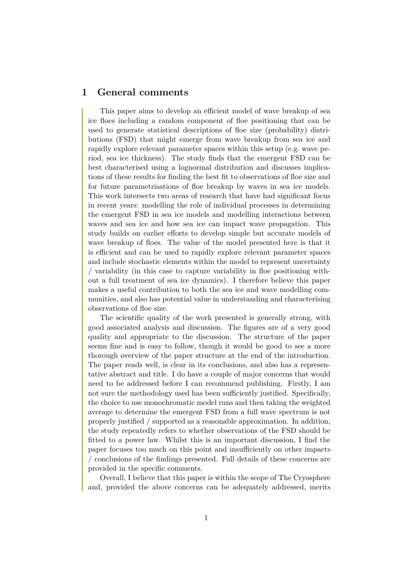# **1 General comments**

This paper aims to develop an efficient model of wave breakup of sea ice floes including a random component of floe positioning that can be used to generate statistical descriptions of floe size (probability) distributions (FSD) that might emerge from wave breakup from sea ice and rapidly explore relevant parameter spaces within this setup (e.g. wave period, sea ice thickness). The study finds that the emergent FSD can be best characterised using a lognormal distribution and discusses implications of these results for finding the best fit to observations of floe size and for future parametrisations of floe breakup by waves in sea ice models. This work intersects two areas of research that have had significant focus in recent years: modelling the role of individual processes in determining the emergent FSD in sea ice models and modelling interactions between waves and sea ice and how sea ice can impact wave propagation. This study builds on earlier efforts to develop simple but accurate models of wave breakup of floes. The value of the model presented here is that it is efficient and can be used to rapidly explore relevant parameter spaces and include stochastic elements within the model to represent uncertainty / variability (in this case to capture variability in floe positioning without a full treatment of sea ice dynamics). I therefore believe this paper makes a useful contribution to both the sea ice and wave modelling communities, and also has potential value in understanding and characterising observations of floe size.

The scientific quality of the work presented is generally strong, with good associated analysis and discussion. The figures are of a very good quality and appropriate to the discussion. The structure of the paper seems fine and is easy to follow, though it would be good to see a more thorough overview of the paper structure at the end of the introduction. The paper reads well, is clear in its conclusions, and also has a representative abstract and title. I do have a couple of major concerns that would need to be addressed before I can recommend publishing. Firstly, I am not sure the methodology used has been sufficiently justified. Specifically, the choice to use monochromatic model runs and then taking the weighted average to determine the emergent FSD from a full wave spectrum is not properly justified / supported as a reasonable approximation. In addition, the study repeatedly refers to whether observations of the FSD should be fitted to a power law. Whilst this is an important discussion, I find the paper focuses too much on this point and insufficiently on other impacts / conclusions of the findings presented. Full details of these concerns are provided in the specific comments.

Overall, I believe that this paper is within the scope of The Cryosphere and, provided the above concerns can be adequately addressed, merits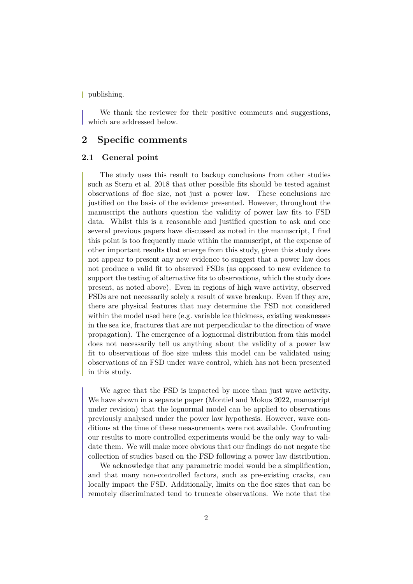| publishing.

We thank the reviewer for their positive comments and suggestions, which are addressed below.

# **2 Specific comments**

### **2.1 General point**

The study uses this result to backup conclusions from other studies such as Stern et al. 2018 that other possible fits should be tested against observations of floe size, not just a power law. These conclusions are justified on the basis of the evidence presented. However, throughout the manuscript the authors question the validity of power law fits to FSD data. Whilst this is a reasonable and justified question to ask and one several previous papers have discussed as noted in the manuscript, I find this point is too frequently made within the manuscript, at the expense of other important results that emerge from this study, given this study does not appear to present any new evidence to suggest that a power law does not produce a valid fit to observed FSDs (as opposed to new evidence to support the testing of alternative fits to observations, which the study does present, as noted above). Even in regions of high wave activity, observed FSDs are not necessarily solely a result of wave breakup. Even if they are, there are physical features that may determine the FSD not considered within the model used here (e.g. variable ice thickness, existing weaknesses in the sea ice, fractures that are not perpendicular to the direction of wave propagation). The emergence of a lognormal distribution from this model does not necessarily tell us anything about the validity of a power law fit to observations of floe size unless this model can be validated using observations of an FSD under wave control, which has not been presented in this study.

We agree that the FSD is impacted by more than just wave activity. We have shown in a separate paper (Montiel and Mokus 2022, manuscript under revision) that the lognormal model can be applied to observations previously analysed under the power law hypothesis. However, wave conditions at the time of these measurements were not available. Confronting our results to more controlled experiments would be the only way to validate them. We will make more obvious that our findings do not negate the collection of studies based on the FSD following a power law distribution.

We acknowledge that any parametric model would be a simplification, and that many non-controlled factors, such as pre-existing cracks, can locally impact the FSD. Additionally, limits on the floe sizes that can be remotely discriminated tend to truncate observations. We note that the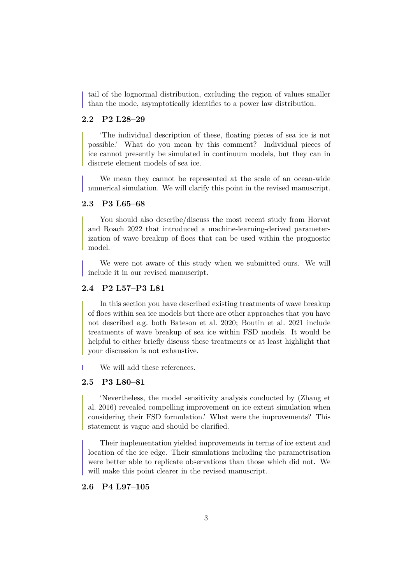tail of the lognormal distribution, excluding the region of values smaller than the mode, asymptotically identifies to a power law distribution.

## **2.2 P2 L28–29**

'The individual description of these, floating pieces of sea ice is not possible.' What do you mean by this comment? Individual pieces of ice cannot presently be simulated in continuum models, but they can in discrete element models of sea ice.

We mean they cannot be represented at the scale of an ocean-wide numerical simulation. We will clarify this point in the revised manuscript.

### **2.3 P3 L65–68**

You should also describe/discuss the most recent study from Horvat and Roach 2022 that introduced a machine-learning-derived parameterization of wave breakup of floes that can be used within the prognostic model.

We were not aware of this study when we submitted ours. We will include it in our revised manuscript.

### **2.4 P2 L57–P3 L81**

In this section you have described existing treatments of wave breakup of floes within sea ice models but there are other approaches that you have not described e.g. both Bateson et al. 2020; Boutin et al. 2021 include treatments of wave breakup of sea ice within FSD models. It would be helpful to either briefly discuss these treatments or at least highlight that your discussion is not exhaustive.

We will add these references.

#### **2.5 P3 L80–81**

'Nevertheless, the model sensitivity analysis conducted by (Zhang et al. 2016) revealed compelling improvement on ice extent simulation when considering their FSD formulation.' What were the improvements? This statement is vague and should be clarified.

Their implementation yielded improvements in terms of ice extent and location of the ice edge. Their simulations including the parametrisation were better able to replicate observations than those which did not. We will make this point clearer in the revised manuscript.

#### **2.6 P4 L97–105**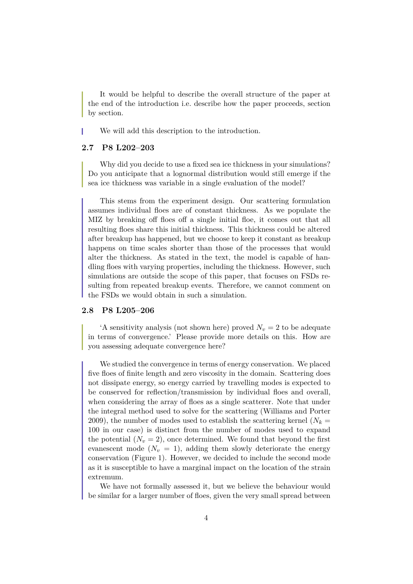It would be helpful to describe the overall structure of the paper at the end of the introduction i.e. describe how the paper proceeds, section by section.

We will add this description to the introduction.

# **2.7 P8 L202–203**

Why did you decide to use a fixed sea ice thickness in your simulations? Do you anticipate that a lognormal distribution would still emerge if the sea ice thickness was variable in a single evaluation of the model?

This stems from the experiment design. Our scattering formulation assumes individual floes are of constant thickness. As we populate the MIZ by breaking off floes off a single initial floe, it comes out that all resulting floes share this initial thickness. This thickness could be altered after breakup has happened, but we choose to keep it constant as breakup happens on time scales shorter than those of the processes that would alter the thickness. As stated in the text, the model is capable of handling floes with varying properties, including the thickness. However, such simulations are outside the scope of this paper, that focuses on FSDs resulting from repeated breakup events. Therefore, we cannot comment on the FSDs we would obtain in such a simulation.

### **2.8 P8 L205–206**

'A sensitivity analysis (not shown here) proved  $N_v = 2$  to be adequate in terms of convergence.' Please provide more details on this. How are you assessing adequate convergence here?

We studied the convergence in terms of energy conservation. We placed five floes of finite length and zero viscosity in the domain. Scattering does not dissipate energy, so energy carried by travelling modes is expected to be conserved for reflection/transmission by individual floes and overall, when considering the array of floes as a single scatterer. Note that under the integral method used to solve for the scattering (Williams and Porter 2009), the number of modes used to establish the scattering kernel ( $N_k =$ 100 in our case) is distinct from the number of modes used to expand the potential  $(N_v = 2)$ , once determined. We found that beyond the first evanescent mode  $(N_v = 1)$ , adding them slowly deteriorate the energy conservation (Figure 1). However, we decided to include the second mode as it is susceptible to have a marginal impact on the location of the strain extremum.

We have not formally assessed it, but we believe the behaviour would be similar for a larger number of floes, given the very small spread between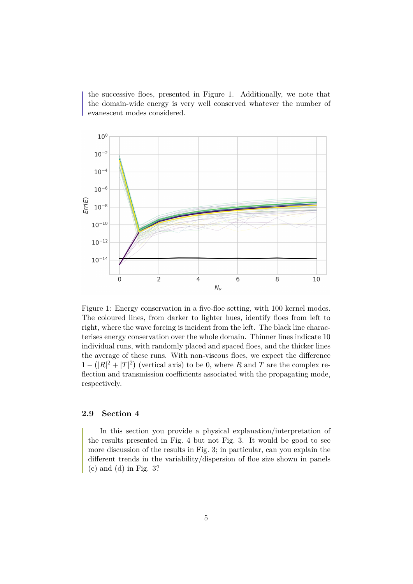the successive floes, presented in Figure 1. Additionally, we note that the domain-wide energy is very well conserved whatever the number of evanescent modes considered.



Figure 1: Energy conservation in a five-floe setting, with 100 kernel modes. The coloured lines, from darker to lighter hues, identify floes from left to right, where the wave forcing is incident from the left. The black line characterises energy conservation over the whole domain. Thinner lines indicate 10 individual runs, with randomly placed and spaced floes, and the thicker lines the average of these runs. With non-viscous floes, we expect the difference  $1 - (|R|^2 + |T|^2)$  (vertical axis) to be 0, where R and T are the complex reflection and transmission coefficients associated with the propagating mode, respectively.

## **2.9 Section 4**

In this section you provide a physical explanation/interpretation of the results presented in Fig. 4 but not Fig. 3. It would be good to see more discussion of the results in Fig. 3; in particular, can you explain the different trends in the variability/dispersion of floe size shown in panels  $(c)$  and  $(d)$  in Fig. 3?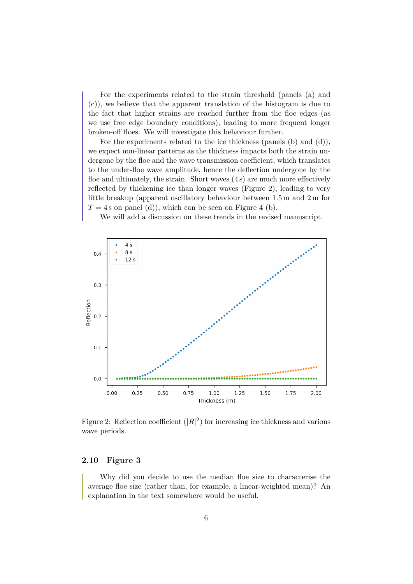For the experiments related to the strain threshold (panels (a) and (c)), we believe that the apparent translation of the histogram is due to the fact that higher strains are reached further from the floe edges (as we use free edge boundary conditions), leading to more frequent longer broken-off floes. We will investigate this behaviour further.

For the experiments related to the ice thickness (panels (b) and (d)), we expect non-linear patterns as the thickness impacts both the strain undergone by the floe and the wave transmission coefficient, which translates to the under-floe wave amplitude, hence the deflection undergone by the floe and ultimately, the strain. Short waves (4 s) are much more effectively reflected by thickening ice than longer waves (Figure 2), leading to very little breakup (apparent oscillatory behaviour between 1.5 m and 2 m for  $T = 4$  s on panel (d)), which can be seen on Figure 4 (b).

We will add a discussion on these trends in the revised manuscript.



Figure 2: Reflection coefficient  $(|R|^2)$  for increasing ice thickness and various wave periods.

## **2.10 Figure 3**

Why did you decide to use the median floe size to characterise the average floe size (rather than, for example, a linear-weighted mean)? An explanation in the text somewhere would be useful.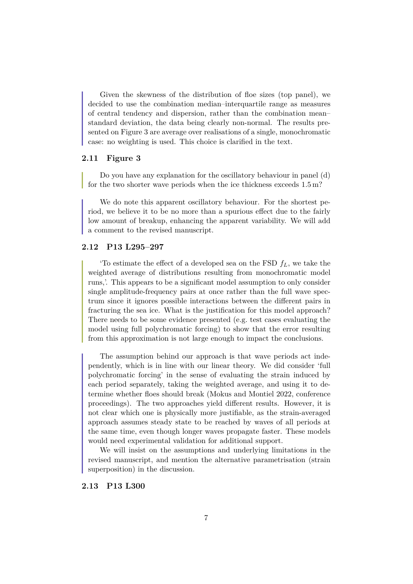Given the skewness of the distribution of floe sizes (top panel), we decided to use the combination median–interquartile range as measures of central tendency and dispersion, rather than the combination mean– standard deviation, the data being clearly non-normal. The results presented on Figure 3 are average over realisations of a single, monochromatic case: no weighting is used. This choice is clarified in the text.

#### **2.11 Figure 3**

Do you have any explanation for the oscillatory behaviour in panel (d) for the two shorter wave periods when the ice thickness exceeds 1.5 m?

We do note this apparent oscillatory behaviour. For the shortest period, we believe it to be no more than a spurious effect due to the fairly low amount of breakup, enhancing the apparent variability. We will add a comment to the revised manuscript.

### **2.12 P13 L295–297**

To estimate the effect of a developed sea on the FSD  $f_L$ , we take the weighted average of distributions resulting from monochromatic model runs,'. This appears to be a significant model assumption to only consider single amplitude-frequency pairs at once rather than the full wave spectrum since it ignores possible interactions between the different pairs in fracturing the sea ice. What is the justification for this model approach? There needs to be some evidence presented (e.g. test cases evaluating the model using full polychromatic forcing) to show that the error resulting from this approximation is not large enough to impact the conclusions.

The assumption behind our approach is that wave periods act independently, which is in line with our linear theory. We did consider 'full polychromatic forcing' in the sense of evaluating the strain induced by each period separately, taking the weighted average, and using it to determine whether floes should break (Mokus and Montiel 2022, conference proceedings). The two approaches yield different results. However, it is not clear which one is physically more justifiable, as the strain-averaged approach assumes steady state to be reached by waves of all periods at the same time, even though longer waves propagate faster. These models would need experimental validation for additional support.

We will insist on the assumptions and underlying limitations in the revised manuscript, and mention the alternative parametrisation (strain superposition) in the discussion.

#### **2.13 P13 L300**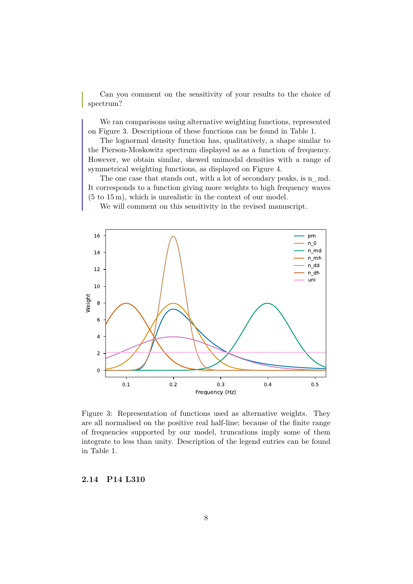Can you comment on the sensitivity of your results to the choice of spectrum?

We ran comparisons using alternative weighting functions, represented on Figure 3. Descriptions of these functions can be found in Table 1.

The lognormal density function has, qualitatively, a shape similar to the Pierson-Moskowitz spectrum displayed as as a function of frequency. However, we obtain similar, skewed unimodal densities with a range of symmetrical weighting functions, as displayed on Figure 4.

The one case that stands out, with a lot of secondary peaks, is n\_md. It corresponds to a function giving more weights to high frequency waves (5 to 15 m), which is unrealistic in the context of our model.

We will comment on this sensitivity in the revised manuscript.



Figure 3: Representation of functions used as alternative weights. They are all normalised on the positive real half-line; because of the finite range of frequencies supported by our model, truncations imply some of them integrate to less than unity. Description of the legend entries can be found in Table 1.

**2.14 P14 L310**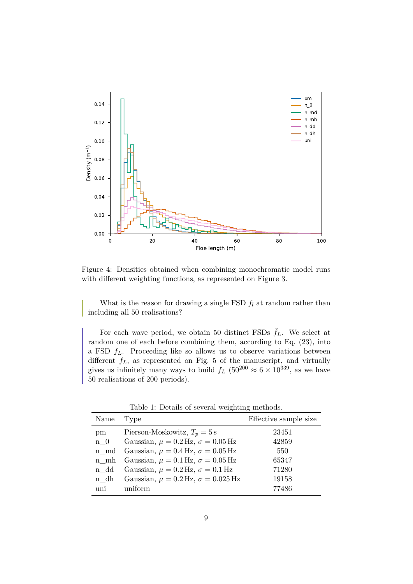

Figure 4: Densities obtained when combining monochromatic model runs with different weighting functions, as represented on Figure 3.

What is the reason for drawing a single FSD  $f_l$  at random rather than including all 50 realisations?

For each wave period, we obtain 50 distinct FSDs  $\tilde{f}_L$ . We select at random one of each before combining them, according to Eq. (23), into a FSD  $f<sub>L</sub>$ . Proceeding like so allows us to observe variations between different  $f_L$ , as represented on Fig. 5 of the manuscript, and virtually gives us infinitely many ways to build  $f_L$  (50<sup>200</sup>  $\approx 6 \times 10^{339}$ , as we have 50 realisations of 200 periods).

| Name        | Type                                          | Effective sample size |
|-------------|-----------------------------------------------|-----------------------|
| pm          | Pierson-Moskowitz, $T_p = 5$ s                | 23451                 |
| $n \quad 0$ | Gaussian, $\mu = 0.2$ Hz, $\sigma = 0.05$ Hz  | 42859                 |
| n md        | Gaussian, $\mu = 0.4$ Hz, $\sigma = 0.05$ Hz  | 550                   |
| n mh        | Gaussian, $\mu = 0.1$ Hz, $\sigma = 0.05$ Hz  | 65347                 |
| n dd        | Gaussian, $\mu = 0.2$ Hz, $\sigma = 0.1$ Hz   | 71280                 |
| n dh        | Gaussian, $\mu = 0.2$ Hz, $\sigma = 0.025$ Hz | 19158                 |
| uni         | uniform                                       | 77486                 |
|             |                                               |                       |

Table 1: Details of several weighting methods.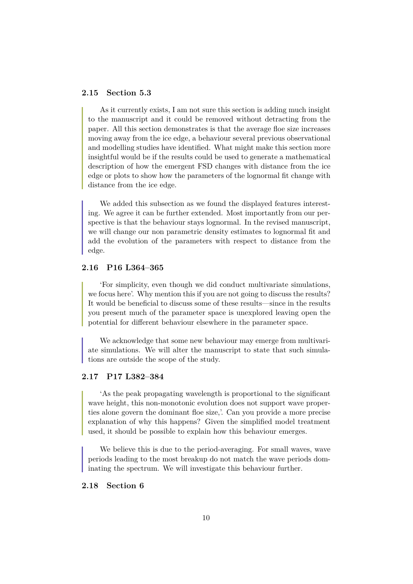### **2.15 Section 5.3**

As it currently exists, I am not sure this section is adding much insight to the manuscript and it could be removed without detracting from the paper. All this section demonstrates is that the average floe size increases moving away from the ice edge, a behaviour several previous observational and modelling studies have identified. What might make this section more insightful would be if the results could be used to generate a mathematical description of how the emergent FSD changes with distance from the ice edge or plots to show how the parameters of the lognormal fit change with distance from the ice edge.

We added this subsection as we found the displayed features interesting. We agree it can be further extended. Most importantly from our perspective is that the behaviour stays lognormal. In the revised manuscript, we will change our non parametric density estimates to lognormal fit and add the evolution of the parameters with respect to distance from the edge.

### **2.16 P16 L364–365**

'For simplicity, even though we did conduct multivariate simulations, we focus here'. Why mention this if you are not going to discuss the results? It would be beneficial to discuss some of these results—since in the results you present much of the parameter space is unexplored leaving open the potential for different behaviour elsewhere in the parameter space.

We acknowledge that some new behaviour may emerge from multivariate simulations. We will alter the manuscript to state that such simulations are outside the scope of the study.

# **2.17 P17 L382–384**

'As the peak propagating wavelength is proportional to the significant wave height, this non-monotonic evolution does not support wave properties alone govern the dominant floe size,'. Can you provide a more precise explanation of why this happens? Given the simplified model treatment used, it should be possible to explain how this behaviour emerges.

We believe this is due to the period-averaging. For small waves, wave periods leading to the most breakup do not match the wave periods dominating the spectrum. We will investigate this behaviour further.

### **2.18 Section 6**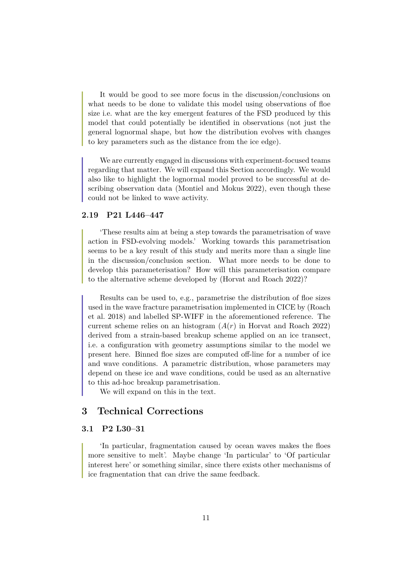It would be good to see more focus in the discussion/conclusions on what needs to be done to validate this model using observations of floe size i.e. what are the key emergent features of the FSD produced by this model that could potentially be identified in observations (not just the general lognormal shape, but how the distribution evolves with changes to key parameters such as the distance from the ice edge).

We are currently engaged in discussions with experiment-focused teams regarding that matter. We will expand this Section accordingly. We would also like to highlight the lognormal model proved to be successful at describing observation data (Montiel and Mokus 2022), even though these could not be linked to wave activity.

### **2.19 P21 L446–447**

'These results aim at being a step towards the parametrisation of wave action in FSD-evolving models.' Working towards this parametrisation seems to be a key result of this study and merits more than a single line in the discussion/conclusion section. What more needs to be done to develop this parameterisation? How will this parameterisation compare to the alternative scheme developed by (Horvat and Roach 2022)?

Results can be used to, e.g., parametrise the distribution of floe sizes used in the wave fracture parametrisation implemented in CICE by (Roach et al. 2018) and labelled SP-WIFF in the aforementioned reference. The current scheme relies on an histogram  $(A(r))$  in Horvat and Roach 2022) derived from a strain-based breakup scheme applied on an ice transect, i.e. a configuration with geometry assumptions similar to the model we present here. Binned floe sizes are computed off-line for a number of ice and wave conditions. A parametric distribution, whose parameters may depend on these ice and wave conditions, could be used as an alternative to this ad-hoc breakup parametrisation.

We will expand on this in the text.

# **3 Technical Corrections**

# **3.1 P2 L30–31**

'In particular, fragmentation caused by ocean waves makes the floes more sensitive to melt'. Maybe change 'In particular' to 'Of particular interest here' or something similar, since there exists other mechanisms of ice fragmentation that can drive the same feedback.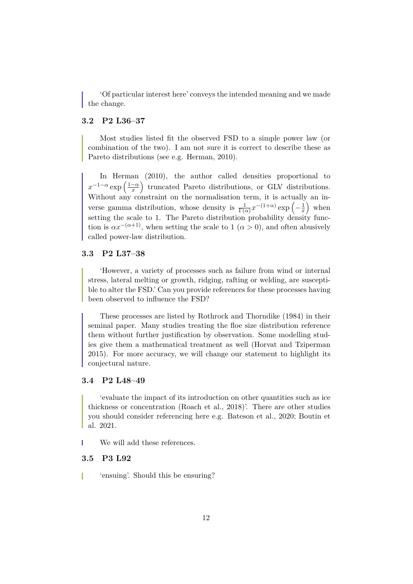'Of particular interest here' conveys the intended meaning and we made the change.

# **3.2 P2 L36–37**

Most studies listed fit the observed FSD to a simple power law (or combination of the two). I am not sure it is correct to describe these as Pareto distributions (see e.g. Herman, 2010).

In Herman  $(2010)$ , the author called densities proportional to  $x^{-1-\alpha} \exp\left(\frac{1-\alpha}{x}\right)$  $\left(\frac{-\alpha}{x}\right)$  truncated Pareto distributions, or GLV distributions. Without any constraint on the normalisation term, it is actually an inverse gamma distribution, whose density is  $\frac{1}{\Gamma(\alpha)} x^{-(1+\alpha)} \exp\left(-\frac{1}{x}\right)$  $\frac{1}{x}$  when setting the scale to 1. The Pareto distribution probability density function is  $\alpha x^{-(\alpha+1)}$ , when setting the scale to 1 ( $\alpha > 0$ ), and often abusively called power-law distribution.

### **3.3 P2 L37–38**

'However, a variety of processes such as failure from wind or internal stress, lateral melting or growth, ridging, rafting or welding, are susceptible to alter the FSD.' Can you provide references for these processes having been observed to influence the FSD?

These processes are listed by Rothrock and Thorndike (1984) in their seminal paper. Many studies treating the floe size distribution reference them without further justification by observation. Some modelling studies give them a mathematical treatment as well (Horvat and Tziperman 2015). For more accuracy, we will change our statement to highlight its conjectural nature.

### **3.4 P2 L48–49**

'evaluate the impact of its introduction on other quantities such as ice thickness or concentration (Roach et al., 2018)'. There are other studies you should consider referencing here e.g. Bateson et al., 2020; Boutin et al. 2021.

We will add these references.

### **3.5 P3 L92**

'ensuing'. Should this be ensuring?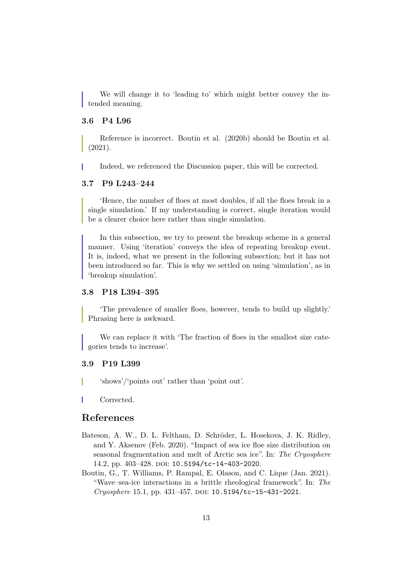We will change it to 'leading to' which might better convey the intended meaning.

### **3.6 P4 L96**

Reference is incorrect. Boutin et al. (2020b) should be Boutin et al. (2021).

Indeed, we referenced the Discussion paper, this will be corrected.

### **3.7 P9 L243–244**

'Hence, the number of floes at most doubles, if all the floes break in a single simulation.' If my understanding is correct, single iteration would be a clearer choice here rather than single simulation.

In this subsection, we try to present the breakup scheme in a general manner. Using 'iteration' conveys the idea of repeating breakup event. It is, indeed, what we present in the following subsection; but it has not been introduced so far. This is why we settled on using 'simulation', as in 'breakup simulation'.

## **3.8 P18 L394–395**

'The prevalence of smaller floes, however, tends to build up slightly.' Phrasing here is awkward.

We can replace it with 'The fraction of floes in the smallest size categories tends to increase'.

#### **3.9 P19 L399**

'shows'/'points out' rather than 'point out'.

Corrected.

# **References**

- Bateson, A. W., D. L. Feltham, D. Schröder, L. Hosekova, J. K. Ridley, and Y. Aksenov (Feb. 2020). "Impact of sea ice floe size distribution on seasonal fragmentation and melt of Arctic sea ice". In: *The Cryosphere* 14.2, pp. 403-428. DOI: 10.5194/tc-14-403-2020.
- Boutin, G., T. Williams, P. Rampal, E. Olason, and C. Lique (Jan. 2021). "Wave–sea-ice interactions in a brittle rheological framework". In: *The Cryosphere* 15.1, pp. 431-457. DOI: 10.5194/tc-15-431-2021.